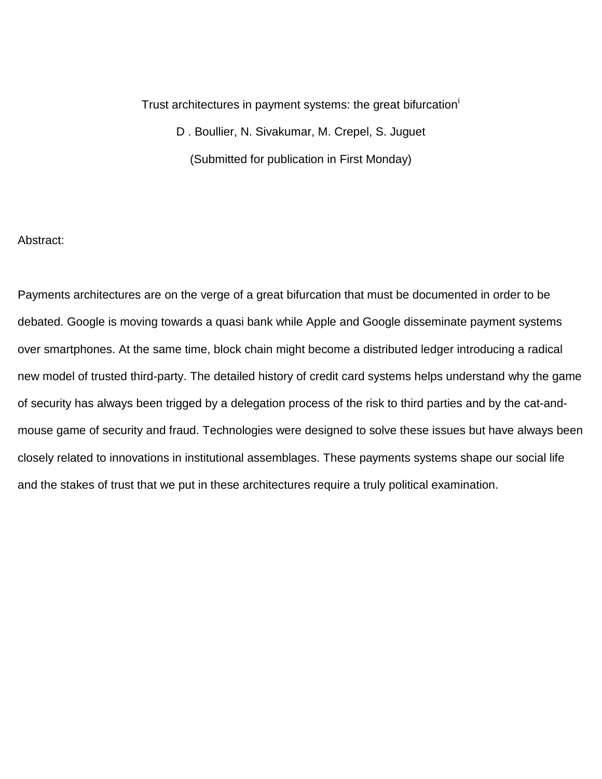Trust arch[i](#page-29-0)tectures in payment systems: the great bifurcation<sup>1</sup> D . Boullier, N. Sivakumar, M. Crepel, S. Juguet (Submitted for publication in First Monday)

## Abstract:

Payments architectures are on the verge of a great bifurcation that must be documented in order to be debated. Google is moving towards a quasi bank while Apple and Google disseminate payment systems over smartphones. At the same time, block chain might become a distributed ledger introducing a radical new model of trusted third-party. The detailed history of credit card systems helps understand why the game of security has always been trigged by a delegation process of the risk to third parties and by the cat-andmouse game of security and fraud. Technologies were designed to solve these issues but have always been closely related to innovations in institutional assemblages. These payments systems shape our social life and the stakes of trust that we put in these architectures require a truly political examination.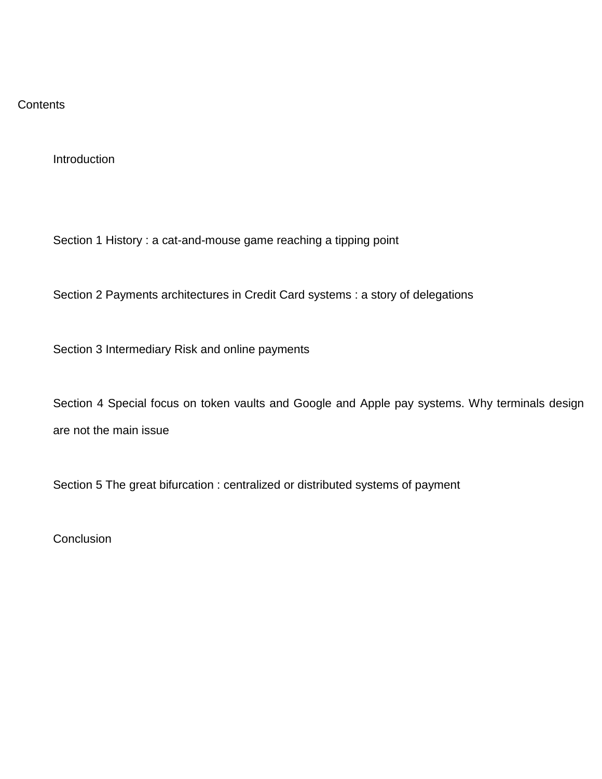## **Contents**

**Introduction** 

Section 1 History : a cat-and-mouse game reaching a tipping point

Section 2 Payments architectures in Credit Card systems : a story of delegations

Section 3 Intermediary Risk and online payments

Section 4 Special focus on token vaults and Google and Apple pay systems. Why terminals design are not the main issue

Section 5 The great bifurcation : centralized or distributed systems of payment

**Conclusion**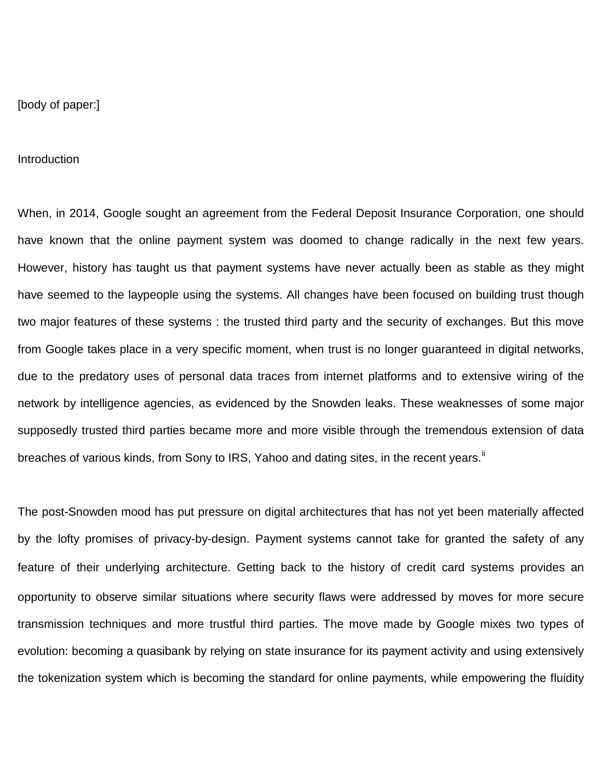[body of paper:]

Introduction

When, in 2014, Google sought an agreement from the Federal Deposit Insurance Corporation, one should have known that the online payment system was doomed to change radically in the next few years. However, history has taught us that payment systems have never actually been as stable as they might have seemed to the laypeople using the systems. All changes have been focused on building trust though two major features of these systems : the trusted third party and the security of exchanges. But this move from Google takes place in a very specific moment, when trust is no longer guaranteed in digital networks, due to the predatory uses of personal data traces from internet platforms and to extensive wiring of the network by intelligence agencies, as evidenced by the Snowden leaks. These weaknesses of some major supposedly trusted third parties became more and more visible through the tremendous extension of data breaches of various kinds, from Sony to IRS, Yahoo and dating sites, in the recent years.<sup>[ii](#page-29-1)</sup>

The post-Snowden mood has put pressure on digital architectures that has not yet been materially affected by the lofty promises of privacy-by-design. Payment systems cannot take for granted the safety of any feature of their underlying architecture. Getting back to the history of credit card systems provides an opportunity to observe similar situations where security flaws were addressed by moves for more secure transmission techniques and more trustful third parties. The move made by Google mixes two types of evolution: becoming a quasibank by relying on state insurance for its payment activity and using extensively the tokenization system which is becoming the standard for online payments, while empowering the fluidity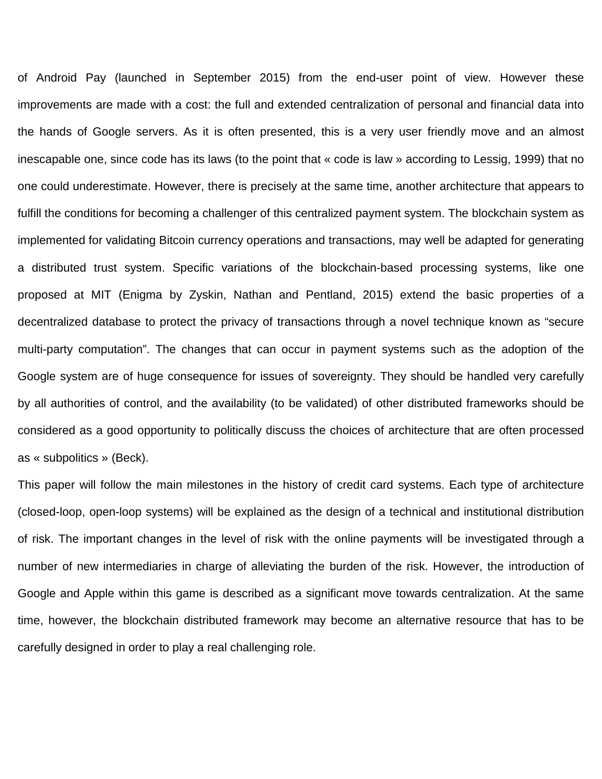of Android Pay (launched in September 2015) from the end-user point of view. However these improvements are made with a cost: the full and extended centralization of personal and financial data into the hands of Google servers. As it is often presented, this is a very user friendly move and an almost inescapable one, since code has its laws (to the point that « code is law » according to Lessig, 1999) that no one could underestimate. However, there is precisely at the same time, another architecture that appears to fulfill the conditions for becoming a challenger of this centralized payment system. The blockchain system as implemented for validating Bitcoin currency operations and transactions, may well be adapted for generating a distributed trust system. Specific variations of the blockchain-based processing systems, like one proposed at MIT (Enigma by Zyskin, Nathan and Pentland, 2015) extend the basic properties of a decentralized database to protect the privacy of transactions through a novel technique known as "secure multi-party computation". The changes that can occur in payment systems such as the adoption of the Google system are of huge consequence for issues of sovereignty. They should be handled very carefully by all authorities of control, and the availability (to be validated) of other distributed frameworks should be considered as a good opportunity to politically discuss the choices of architecture that are often processed as « subpolitics » (Beck).

This paper will follow the main milestones in the history of credit card systems. Each type of architecture (closed-loop, open-loop systems) will be explained as the design of a technical and institutional distribution of risk. The important changes in the level of risk with the online payments will be investigated through a number of new intermediaries in charge of alleviating the burden of the risk. However, the introduction of Google and Apple within this game is described as a significant move towards centralization. At the same time, however, the blockchain distributed framework may become an alternative resource that has to be carefully designed in order to play a real challenging role.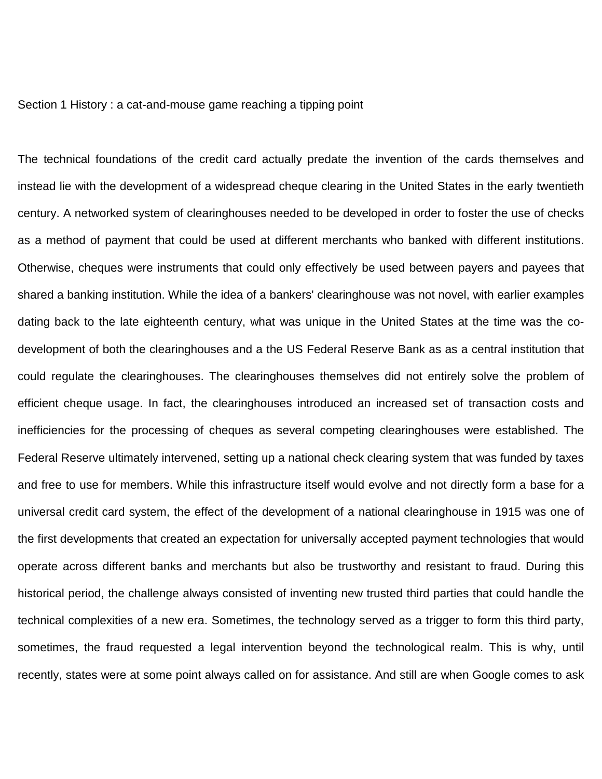#### Section 1 History : a cat-and-mouse game reaching a tipping point

The technical foundations of the credit card actually predate the invention of the cards themselves and instead lie with the development of a widespread cheque clearing in the United States in the early twentieth century. A networked system of clearinghouses needed to be developed in order to foster the use of checks as a method of payment that could be used at different merchants who banked with different institutions. Otherwise, cheques were instruments that could only effectively be used between payers and payees that shared a banking institution. While the idea of a bankers' clearinghouse was not novel, with earlier examples dating back to the late eighteenth century, what was unique in the United States at the time was the codevelopment of both the clearinghouses and a the US Federal Reserve Bank as as a central institution that could regulate the clearinghouses. The clearinghouses themselves did not entirely solve the problem of efficient cheque usage. In fact, the clearinghouses introduced an increased set of transaction costs and inefficiencies for the processing of cheques as several competing clearinghouses were established. The Federal Reserve ultimately intervened, setting up a national check clearing system that was funded by taxes and free to use for members. While this infrastructure itself would evolve and not directly form a base for a universal credit card system, the effect of the development of a national clearinghouse in 1915 was one of the first developments that created an expectation for universally accepted payment technologies that would operate across different banks and merchants but also be trustworthy and resistant to fraud. During this historical period, the challenge always consisted of inventing new trusted third parties that could handle the technical complexities of a new era. Sometimes, the technology served as a trigger to form this third party, sometimes, the fraud requested a legal intervention beyond the technological realm. This is why, until recently, states were at some point always called on for assistance. And still are when Google comes to ask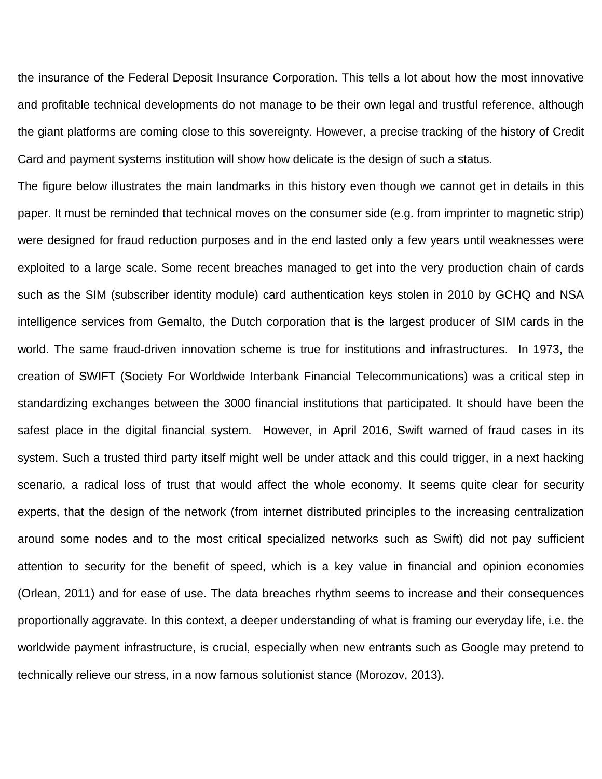the insurance of the Federal Deposit Insurance Corporation. This tells a lot about how the most innovative and profitable technical developments do not manage to be their own legal and trustful reference, although the giant platforms are coming close to this sovereignty. However, a precise tracking of the history of Credit Card and payment systems institution will show how delicate is the design of such a status.

The figure below illustrates the main landmarks in this history even though we cannot get in details in this paper. It must be reminded that technical moves on the consumer side (e.g. from imprinter to magnetic strip) were designed for fraud reduction purposes and in the end lasted only a few years until weaknesses were exploited to a large scale. Some recent breaches managed to get into the very production chain of cards such as the SIM (subscriber identity module) card authentication keys stolen in 2010 by GCHQ and NSA intelligence services from Gemalto, the Dutch corporation that is the largest producer of SIM cards in the world. The same fraud-driven innovation scheme is true for institutions and infrastructures. In 1973, the creation of SWIFT (Society For Worldwide Interbank Financial Telecommunications) was a critical step in standardizing exchanges between the 3000 financial institutions that participated. It should have been the safest place in the digital financial system. However, in April 2016, Swift warned of fraud cases in its system. Such a trusted third party itself might well be under attack and this could trigger, in a next hacking scenario, a radical loss of trust that would affect the whole economy. It seems quite clear for security experts, that the design of the network (from internet distributed principles to the increasing centralization around some nodes and to the most critical specialized networks such as Swift) did not pay sufficient attention to security for the benefit of speed, which is a key value in financial and opinion economies (Orlean, 2011) and for ease of use. The data breaches rhythm seems to increase and their consequences proportionally aggravate. In this context, a deeper understanding of what is framing our everyday life, i.e. the worldwide payment infrastructure, is crucial, especially when new entrants such as Google may pretend to technically relieve our stress, in a now famous solutionist stance (Morozov, 2013).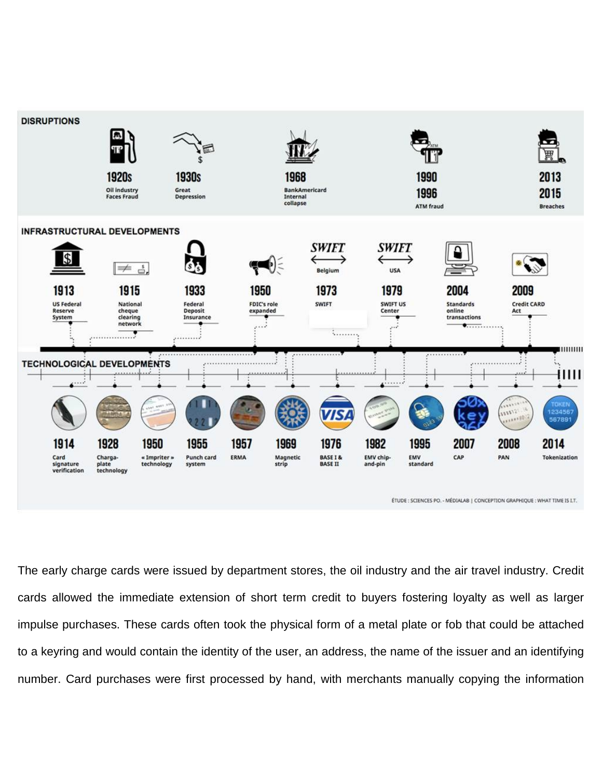

ÉTUDE : SCIENCES PO. - MÉDIALAB | CONCEPTION GRAPHIQUE : WHAT TIME IS LT.

The early charge cards were issued by department stores, the oil industry and the air travel industry. Credit cards allowed the immediate extension of short term credit to buyers fostering loyalty as well as larger impulse purchases. These cards often took the physical form of a metal plate or fob that could be attached to a keyring and would contain the identity of the user, an address, the name of the issuer and an identifying number. Card purchases were first processed by hand, with merchants manually copying the information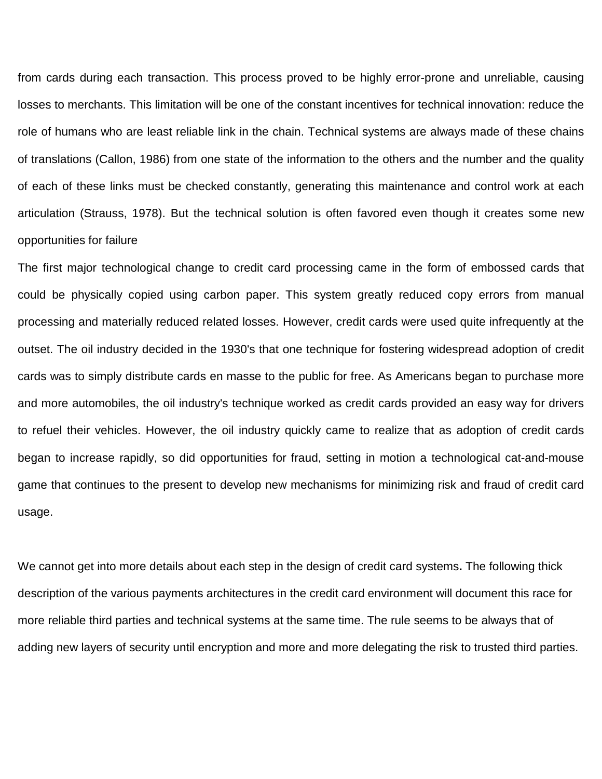from cards during each transaction. This process proved to be highly error-prone and unreliable, causing losses to merchants. This limitation will be one of the constant incentives for technical innovation: reduce the role of humans who are least reliable link in the chain. Technical systems are always made of these chains of translations (Callon, 1986) from one state of the information to the others and the number and the quality of each of these links must be checked constantly, generating this maintenance and control work at each articulation (Strauss, 1978). But the technical solution is often favored even though it creates some new opportunities for failure

The first major technological change to credit card processing came in the form of embossed cards that could be physically copied using carbon paper. This system greatly reduced copy errors from manual processing and materially reduced related losses. However, credit cards were used quite infrequently at the outset. The oil industry decided in the 1930's that one technique for fostering widespread adoption of credit cards was to simply distribute cards en masse to the public for free. As Americans began to purchase more and more automobiles, the oil industry's technique worked as credit cards provided an easy way for drivers to refuel their vehicles. However, the oil industry quickly came to realize that as adoption of credit cards began to increase rapidly, so did opportunities for fraud, setting in motion a technological cat-and-mouse game that continues to the present to develop new mechanisms for minimizing risk and fraud of credit card usage.

We cannot get into more details about each step in the design of credit card systems**.** The following thick description of the various payments architectures in the credit card environment will document this race for more reliable third parties and technical systems at the same time. The rule seems to be always that of adding new layers of security until encryption and more and more delegating the risk to trusted third parties.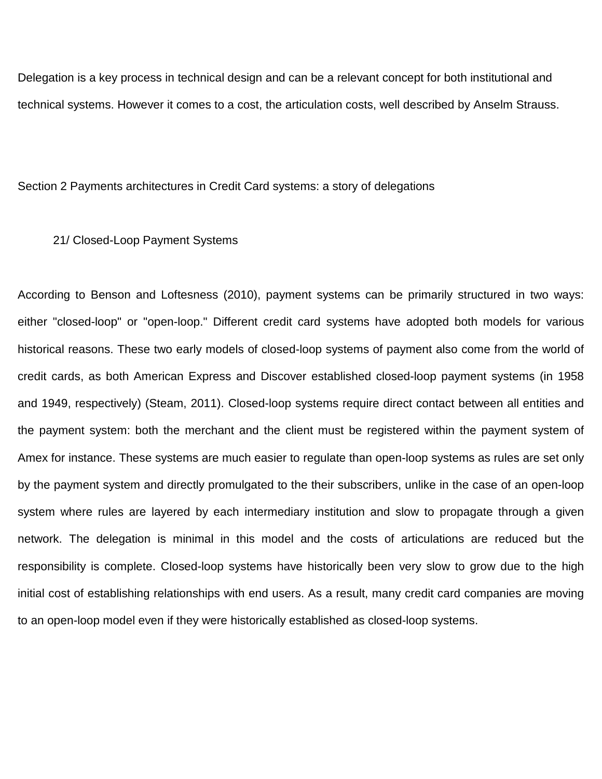Delegation is a key process in technical design and can be a relevant concept for both institutional and technical systems. However it comes to a cost, the articulation costs, well described by Anselm Strauss.

Section 2 Payments architectures in Credit Card systems: a story of delegations

21/ Closed-Loop Payment Systems

According to Benson and Loftesness (2010), payment systems can be primarily structured in two ways: either "closed-loop" or "open-loop." Different credit card systems have adopted both models for various historical reasons. These two early models of closed-loop systems of payment also come from the world of credit cards, as both American Express and Discover established closed-loop payment systems (in 1958 and 1949, respectively) (Steam, 2011). Closed-loop systems require direct contact between all entities and the payment system: both the merchant and the client must be registered within the payment system of Amex for instance. These systems are much easier to regulate than open-loop systems as rules are set only by the payment system and directly promulgated to the their subscribers, unlike in the case of an open-loop system where rules are layered by each intermediary institution and slow to propagate through a given network. The delegation is minimal in this model and the costs of articulations are reduced but the responsibility is complete. Closed-loop systems have historically been very slow to grow due to the high initial cost of establishing relationships with end users. As a result, many credit card companies are moving to an open-loop model even if they were historically established as closed-loop systems.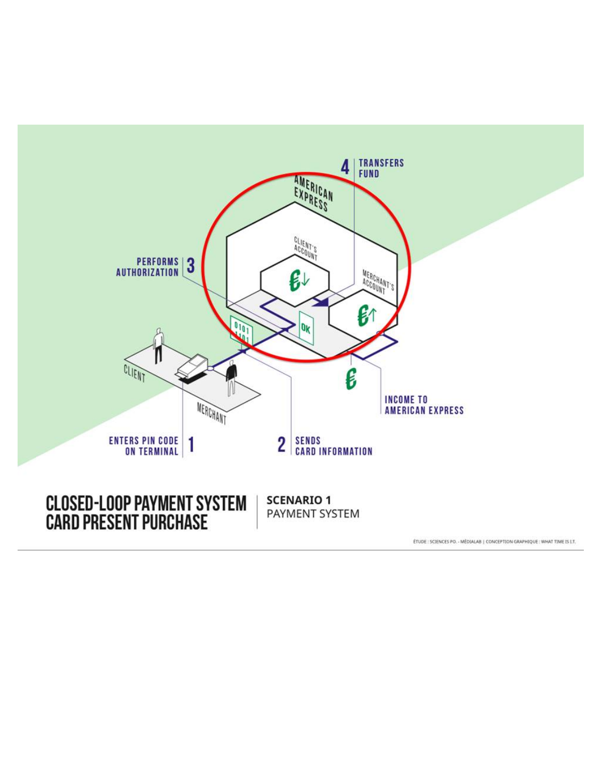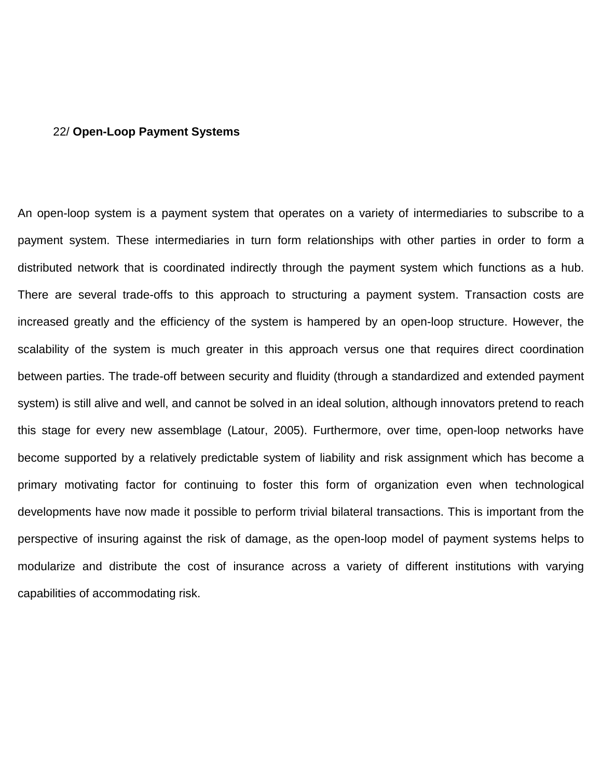## 22/ **Open-Loop Payment Systems**

An open-loop system is a payment system that operates on a variety of intermediaries to subscribe to a payment system. These intermediaries in turn form relationships with other parties in order to form a distributed network that is coordinated indirectly through the payment system which functions as a hub. There are several trade-offs to this approach to structuring a payment system. Transaction costs are increased greatly and the efficiency of the system is hampered by an open-loop structure. However, the scalability of the system is much greater in this approach versus one that requires direct coordination between parties. The trade-off between security and fluidity (through a standardized and extended payment system) is still alive and well, and cannot be solved in an ideal solution, although innovators pretend to reach this stage for every new assemblage (Latour, 2005). Furthermore, over time, open-loop networks have become supported by a relatively predictable system of liability and risk assignment which has become a primary motivating factor for continuing to foster this form of organization even when technological developments have now made it possible to perform trivial bilateral transactions. This is important from the perspective of insuring against the risk of damage, as the open-loop model of payment systems helps to modularize and distribute the cost of insurance across a variety of different institutions with varying capabilities of accommodating risk.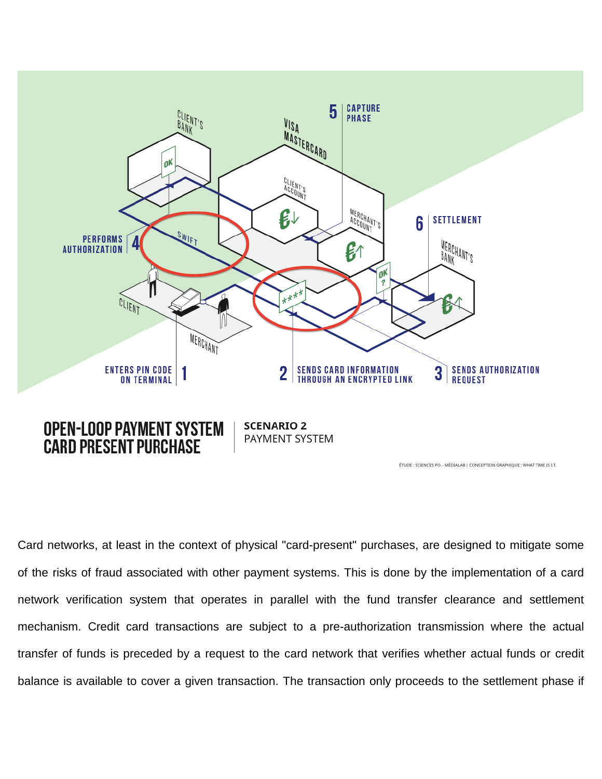

Card networks, at least in the context of physical "card-present" purchases, are designed to mitigate some of the risks of fraud associated with other payment systems. This is done by the implementation of a card network verification system that operates in parallel with the fund transfer clearance and settlement mechanism. Credit card transactions are subject to a pre-authorization transmission where the actual transfer of funds is preceded by a request to the card network that verifies whether actual funds or credit balance is available to cover a given transaction. The transaction only proceeds to the settlement phase if

ÉTUDE : SCIENCES PO. - MÉDIALAB | CONCEPTION GRAPHIQUE : WHAT TIME IS I.T.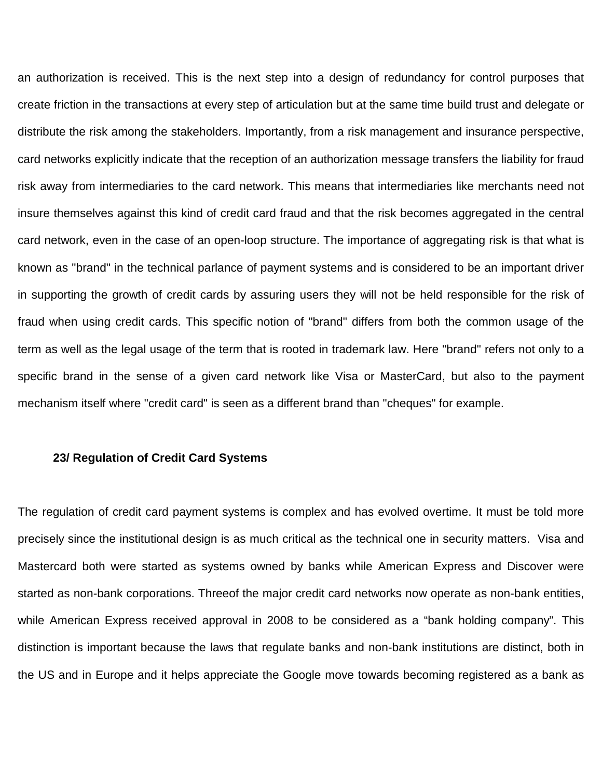an authorization is received. This is the next step into a design of redundancy for control purposes that create friction in the transactions at every step of articulation but at the same time build trust and delegate or distribute the risk among the stakeholders. Importantly, from a risk management and insurance perspective, card networks explicitly indicate that the reception of an authorization message transfers the liability for fraud risk away from intermediaries to the card network. This means that intermediaries like merchants need not insure themselves against this kind of credit card fraud and that the risk becomes aggregated in the central card network, even in the case of an open-loop structure. The importance of aggregating risk is that what is known as "brand" in the technical parlance of payment systems and is considered to be an important driver in supporting the growth of credit cards by assuring users they will not be held responsible for the risk of fraud when using credit cards. This specific notion of "brand" differs from both the common usage of the term as well as the legal usage of the term that is rooted in trademark law. Here "brand" refers not only to a specific brand in the sense of a given card network like Visa or MasterCard, but also to the payment mechanism itself where "credit card" is seen as a different brand than "cheques" for example.

### **23/ Regulation of Credit Card Systems**

The regulation of credit card payment systems is complex and has evolved overtime. It must be told more precisely since the institutional design is as much critical as the technical one in security matters. Visa and Mastercard both were started as systems owned by banks while American Express and Discover were started as non-bank corporations. Threeof the major credit card networks now operate as non-bank entities, while American Express received approval in 2008 to be considered as a "bank holding company". This distinction is important because the laws that regulate banks and non-bank institutions are distinct, both in the US and in Europe and it helps appreciate the Google move towards becoming registered as a bank as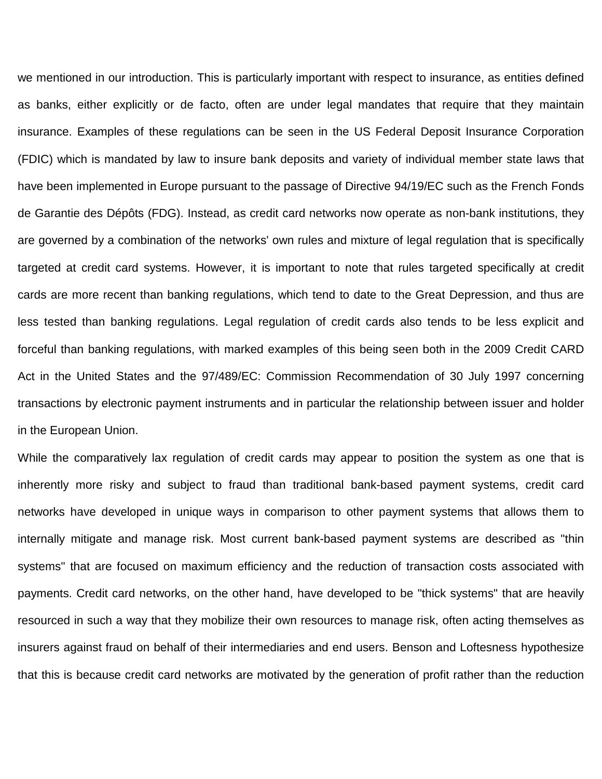we mentioned in our introduction. This is particularly important with respect to insurance, as entities defined as banks, either explicitly or de facto, often are under legal mandates that require that they maintain insurance. Examples of these regulations can be seen in the US Federal Deposit Insurance Corporation (FDIC) which is mandated by law to insure bank deposits and variety of individual member state laws that have been implemented in Europe pursuant to the passage of Directive 94/19/EC such as the French Fonds de Garantie des Dépôts (FDG). Instead, as credit card networks now operate as non-bank institutions, they are governed by a combination of the networks' own rules and mixture of legal regulation that is specifically targeted at credit card systems. However, it is important to note that rules targeted specifically at credit cards are more recent than banking regulations, which tend to date to the Great Depression, and thus are less tested than banking regulations. Legal regulation of credit cards also tends to be less explicit and forceful than banking regulations, with marked examples of this being seen both in the 2009 Credit CARD Act in the United States and the 97/489/EC: Commission Recommendation of 30 July 1997 concerning transactions by electronic payment instruments and in particular the relationship between issuer and holder in the European Union.

While the comparatively lax regulation of credit cards may appear to position the system as one that is inherently more risky and subject to fraud than traditional bank-based payment systems, credit card networks have developed in unique ways in comparison to other payment systems that allows them to internally mitigate and manage risk. Most current bank-based payment systems are described as "thin systems" that are focused on maximum efficiency and the reduction of transaction costs associated with payments. Credit card networks, on the other hand, have developed to be "thick systems" that are heavily resourced in such a way that they mobilize their own resources to manage risk, often acting themselves as insurers against fraud on behalf of their intermediaries and end users. Benson and Loftesness hypothesize that this is because credit card networks are motivated by the generation of profit rather than the reduction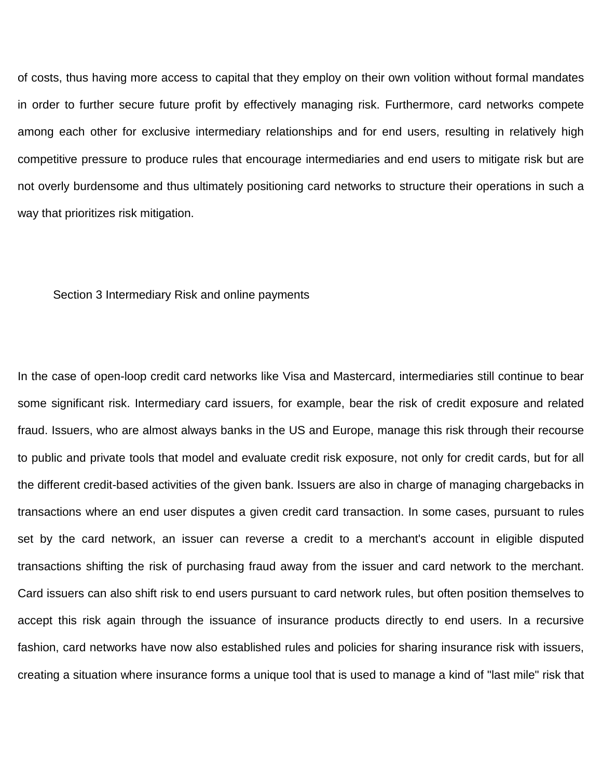of costs, thus having more access to capital that they employ on their own volition without formal mandates in order to further secure future profit by effectively managing risk. Furthermore, card networks compete among each other for exclusive intermediary relationships and for end users, resulting in relatively high competitive pressure to produce rules that encourage intermediaries and end users to mitigate risk but are not overly burdensome and thus ultimately positioning card networks to structure their operations in such a way that prioritizes risk mitigation.

#### Section 3 Intermediary Risk and online payments

In the case of open-loop credit card networks like Visa and Mastercard, intermediaries still continue to bear some significant risk. Intermediary card issuers, for example, bear the risk of credit exposure and related fraud. Issuers, who are almost always banks in the US and Europe, manage this risk through their recourse to public and private tools that model and evaluate credit risk exposure, not only for credit cards, but for all the different credit-based activities of the given bank. Issuers are also in charge of managing chargebacks in transactions where an end user disputes a given credit card transaction. In some cases, pursuant to rules set by the card network, an issuer can reverse a credit to a merchant's account in eligible disputed transactions shifting the risk of purchasing fraud away from the issuer and card network to the merchant. Card issuers can also shift risk to end users pursuant to card network rules, but often position themselves to accept this risk again through the issuance of insurance products directly to end users. In a recursive fashion, card networks have now also established rules and policies for sharing insurance risk with issuers, creating a situation where insurance forms a unique tool that is used to manage a kind of "last mile" risk that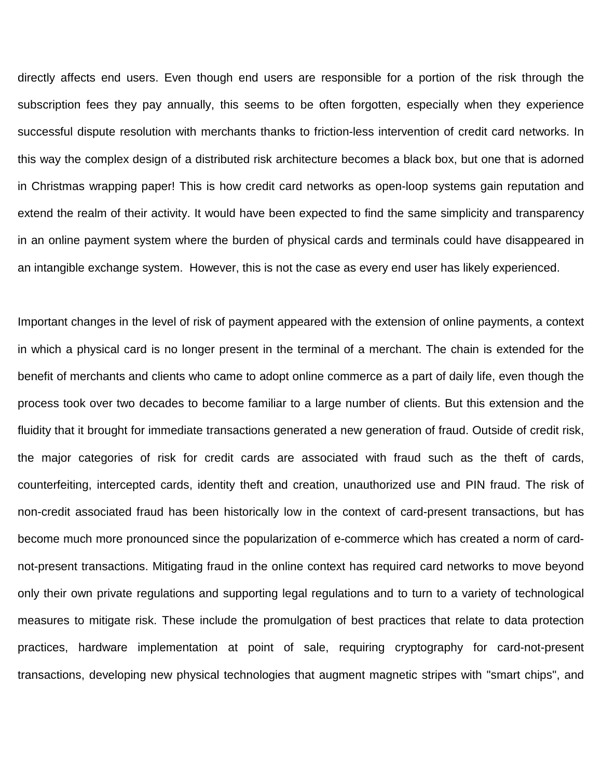directly affects end users. Even though end users are responsible for a portion of the risk through the subscription fees they pay annually, this seems to be often forgotten, especially when they experience successful dispute resolution with merchants thanks to friction-less intervention of credit card networks. In this way the complex design of a distributed risk architecture becomes a black box, but one that is adorned in Christmas wrapping paper! This is how credit card networks as open-loop systems gain reputation and extend the realm of their activity. It would have been expected to find the same simplicity and transparency in an online payment system where the burden of physical cards and terminals could have disappeared in an intangible exchange system. However, this is not the case as every end user has likely experienced.

Important changes in the level of risk of payment appeared with the extension of online payments, a context in which a physical card is no longer present in the terminal of a merchant. The chain is extended for the benefit of merchants and clients who came to adopt online commerce as a part of daily life, even though the process took over two decades to become familiar to a large number of clients. But this extension and the fluidity that it brought for immediate transactions generated a new generation of fraud. Outside of credit risk, the major categories of risk for credit cards are associated with fraud such as the theft of cards, counterfeiting, intercepted cards, identity theft and creation, unauthorized use and PIN fraud. The risk of non-credit associated fraud has been historically low in the context of card-present transactions, but has become much more pronounced since the popularization of e-commerce which has created a norm of cardnot-present transactions. Mitigating fraud in the online context has required card networks to move beyond only their own private regulations and supporting legal regulations and to turn to a variety of technological measures to mitigate risk. These include the promulgation of best practices that relate to data protection practices, hardware implementation at point of sale, requiring cryptography for card-not-present transactions, developing new physical technologies that augment magnetic stripes with "smart chips", and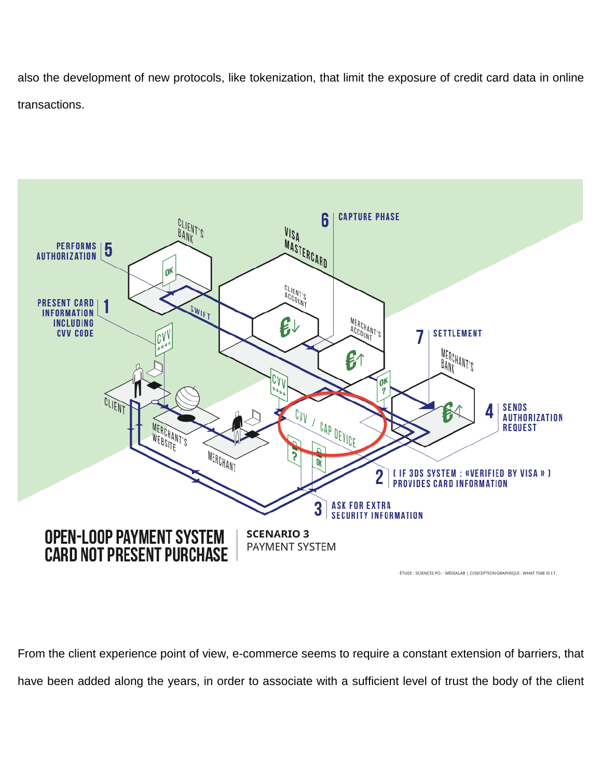also the development of new protocols, like tokenization, that limit the exposure of credit card data in online transactions.



From the client experience point of view, e-commerce seems to require a constant extension of barriers, that have been added along the years, in order to associate with a sufficient level of trust the body of the client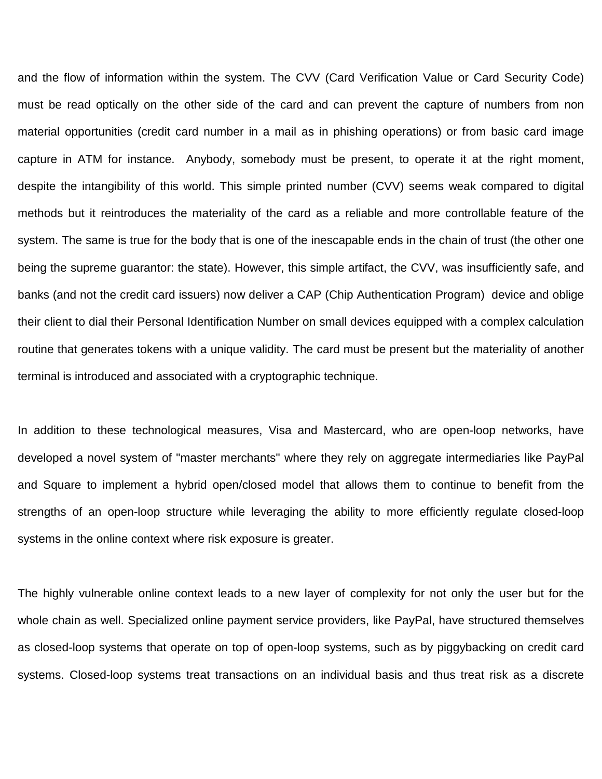and the flow of information within the system. The CVV (Card Verification Value or Card Security Code) must be read optically on the other side of the card and can prevent the capture of numbers from non material opportunities (credit card number in a mail as in phishing operations) or from basic card image capture in ATM for instance. Anybody, somebody must be present, to operate it at the right moment, despite the intangibility of this world. This simple printed number (CVV) seems weak compared to digital methods but it reintroduces the materiality of the card as a reliable and more controllable feature of the system. The same is true for the body that is one of the inescapable ends in the chain of trust (the other one being the supreme guarantor: the state). However, this simple artifact, the CVV, was insufficiently safe, and banks (and not the credit card issuers) now deliver a CAP (Chip Authentication Program) device and oblige their client to dial their Personal Identification Number on small devices equipped with a complex calculation routine that generates tokens with a unique validity. The card must be present but the materiality of another terminal is introduced and associated with a cryptographic technique.

In addition to these technological measures, Visa and Mastercard, who are open-loop networks, have developed a novel system of "master merchants" where they rely on aggregate intermediaries like PayPal and Square to implement a hybrid open/closed model that allows them to continue to benefit from the strengths of an open-loop structure while leveraging the ability to more efficiently regulate closed-loop systems in the online context where risk exposure is greater.

The highly vulnerable online context leads to a new layer of complexity for not only the user but for the whole chain as well. Specialized online payment service providers, like PayPal, have structured themselves as closed-loop systems that operate on top of open-loop systems, such as by piggybacking on credit card systems. Closed-loop systems treat transactions on an individual basis and thus treat risk as a discrete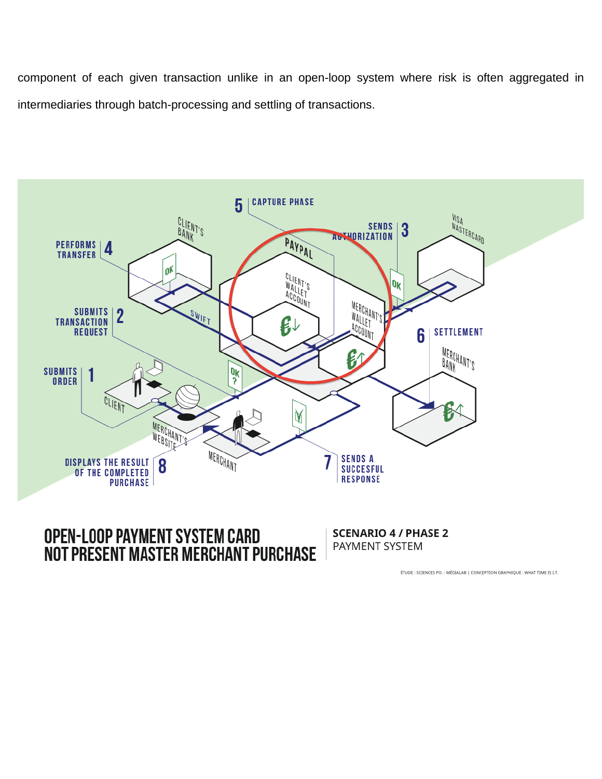component of each given transaction unlike in an open-loop system where risk is often aggregated in intermediaries through batch-processing and settling of transactions.



# **OPEN-LOOP PAYMENT SYSTEM CARD NOT PRESENT MASTER MERCHANT PURCHASE**

**SCENARIO 4 / PHASE 2** PAYMENT SYSTEM

ÉTUDE : SCIENCES PO. - MÉDIALAB | CONCEPTION GRAPHIQUE : WHAT TIME IS I.T.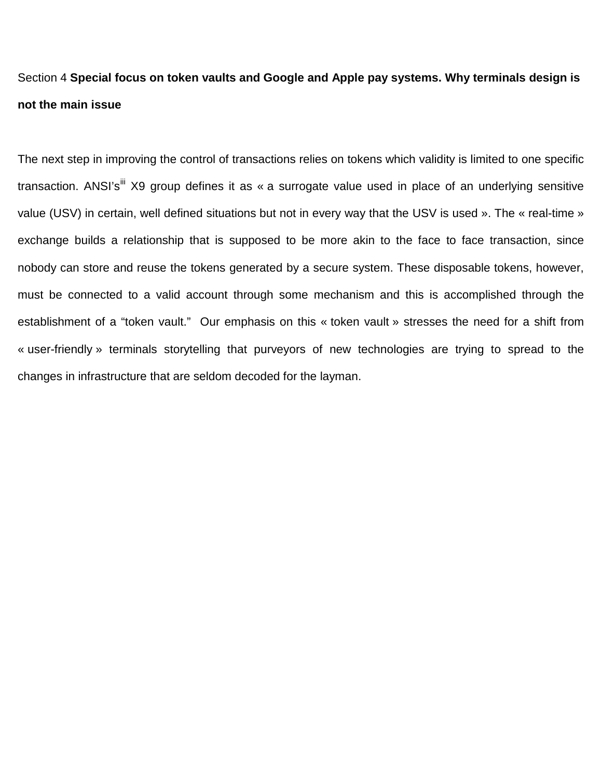# Section 4 **Special focus on token vaults and Google and Apple pay systems. Why terminals design is not the main issue**

The next step in improving the control of transactions relies on tokens which validity is limited to one specific transaction. ANSI's<sup>[iii](#page-29-2)</sup> X9 group defines it as « a surrogate value used in place of an underlying sensitive value (USV) in certain, well defined situations but not in every way that the USV is used ». The « real-time » exchange builds a relationship that is supposed to be more akin to the face to face transaction, since nobody can store and reuse the tokens generated by a secure system. These disposable tokens, however, must be connected to a valid account through some mechanism and this is accomplished through the establishment of a "token vault." Our emphasis on this « token vault » stresses the need for a shift from « user-friendly » terminals storytelling that purveyors of new technologies are trying to spread to the changes in infrastructure that are seldom decoded for the layman.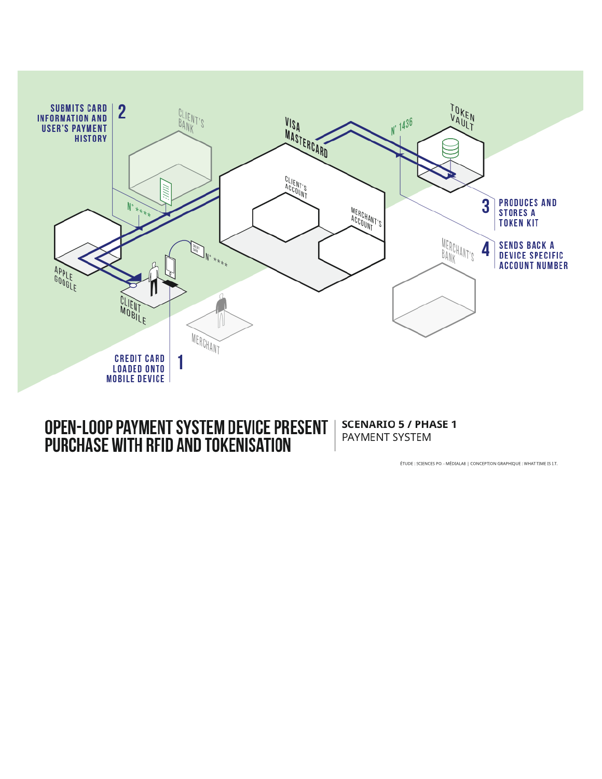

# OPEN-LOOP PAYMENT SYSTEM DEVICE PRESENT PURCHASE WITH RFID AND TOKENISATION

**SCENARIO 5 / PHASE 1** PAYMENT SYSTEM

ÉTUDE : SCIENCES PO. - MÉDIALAB | CONCEPTION GRAPHIQUE : WHAT TIME IS I.T.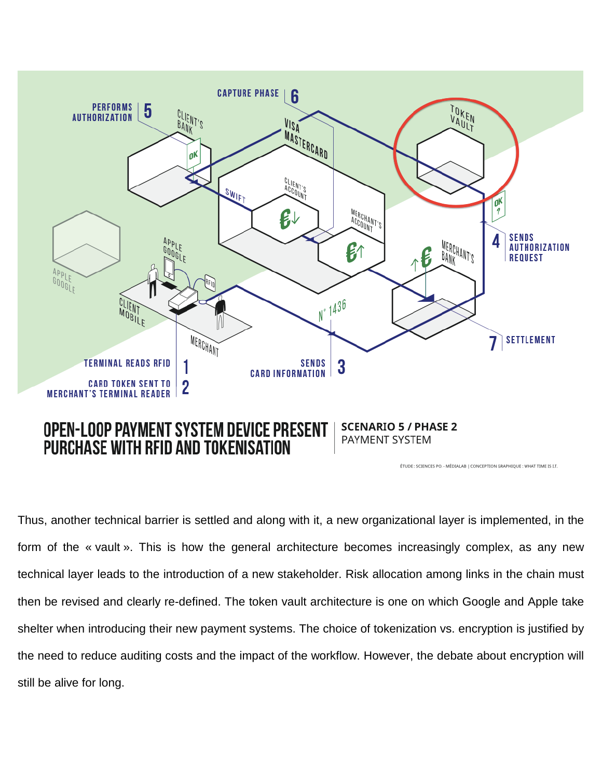

# **PURCHASE WITH RFID AND TOKENISATION**

ÉTUDE : SCIENCES PO. - MÉDIALAB | CONCEPTION GRAPHIQUE : WHAT TIME IS I.T.

Thus, another technical barrier is settled and along with it, a new organizational layer is implemented, in the form of the « vault ». This is how the general architecture becomes increasingly complex, as any new technical layer leads to the introduction of a new stakeholder. Risk allocation among links in the chain must then be revised and clearly re-defined. The token vault architecture is one on which Google and Apple take shelter when introducing their new payment systems. The choice of tokenization vs. encryption is justified by the need to reduce auditing costs and the impact of the workflow. However, the debate about encryption will still be alive for long.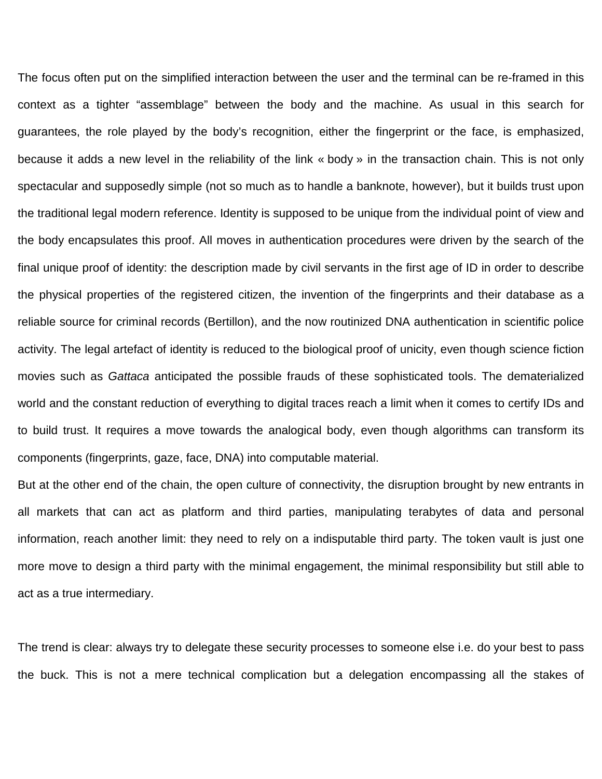The focus often put on the simplified interaction between the user and the terminal can be re-framed in this context as a tighter "assemblage" between the body and the machine. As usual in this search for guarantees, the role played by the body's recognition, either the fingerprint or the face, is emphasized, because it adds a new level in the reliability of the link « body » in the transaction chain. This is not only spectacular and supposedly simple (not so much as to handle a banknote, however), but it builds trust upon the traditional legal modern reference. Identity is supposed to be unique from the individual point of view and the body encapsulates this proof. All moves in authentication procedures were driven by the search of the final unique proof of identity: the description made by civil servants in the first age of ID in order to describe the physical properties of the registered citizen, the invention of the fingerprints and their database as a reliable source for criminal records (Bertillon), and the now routinized DNA authentication in scientific police activity. The legal artefact of identity is reduced to the biological proof of unicity, even though science fiction movies such as *Gattaca* anticipated the possible frauds of these sophisticated tools. The dematerialized world and the constant reduction of everything to digital traces reach a limit when it comes to certify IDs and to build trust. It requires a move towards the analogical body, even though algorithms can transform its components (fingerprints, gaze, face, DNA) into computable material.

But at the other end of the chain, the open culture of connectivity, the disruption brought by new entrants in all markets that can act as platform and third parties, manipulating terabytes of data and personal information, reach another limit: they need to rely on a indisputable third party. The token vault is just one more move to design a third party with the minimal engagement, the minimal responsibility but still able to act as a true intermediary.

The trend is clear: always try to delegate these security processes to someone else i.e. do your best to pass the buck. This is not a mere technical complication but a delegation encompassing all the stakes of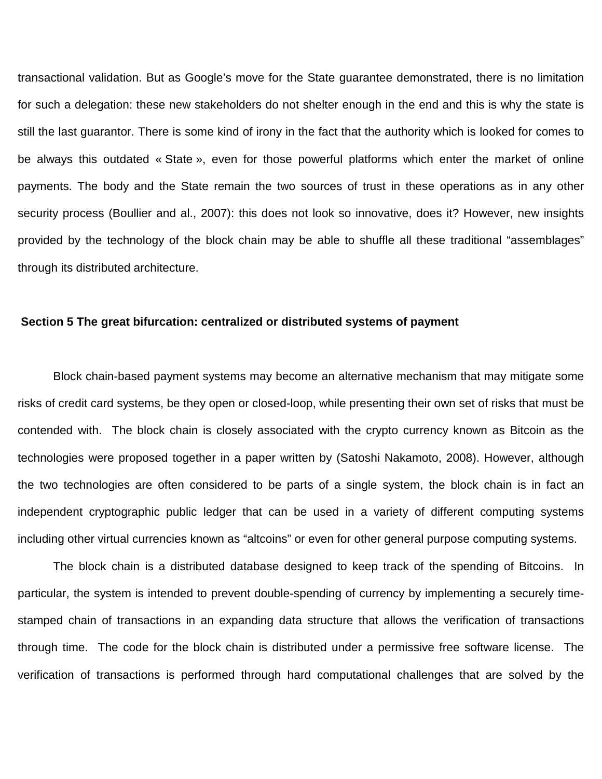transactional validation. But as Google's move for the State guarantee demonstrated, there is no limitation for such a delegation: these new stakeholders do not shelter enough in the end and this is why the state is still the last guarantor. There is some kind of irony in the fact that the authority which is looked for comes to be always this outdated « State », even for those powerful platforms which enter the market of online payments. The body and the State remain the two sources of trust in these operations as in any other security process (Boullier and al., 2007): this does not look so innovative, does it? However, new insights provided by the technology of the block chain may be able to shuffle all these traditional "assemblages" through its distributed architecture.

### **Section 5 The great bifurcation: centralized or distributed systems of payment**

Block chain-based payment systems may become an alternative mechanism that may mitigate some risks of credit card systems, be they open or closed-loop, while presenting their own set of risks that must be contended with. The block chain is closely associated with the crypto currency known as Bitcoin as the technologies were proposed together in a paper written by (Satoshi Nakamoto, 2008). However, although the two technologies are often considered to be parts of a single system, the block chain is in fact an independent cryptographic public ledger that can be used in a variety of different computing systems including other virtual currencies known as "altcoins" or even for other general purpose computing systems.

The block chain is a distributed database designed to keep track of the spending of Bitcoins. In particular, the system is intended to prevent double-spending of currency by implementing a securely timestamped chain of transactions in an expanding data structure that allows the verification of transactions through time. The code for the block chain is distributed under a permissive free software license. The verification of transactions is performed through hard computational challenges that are solved by the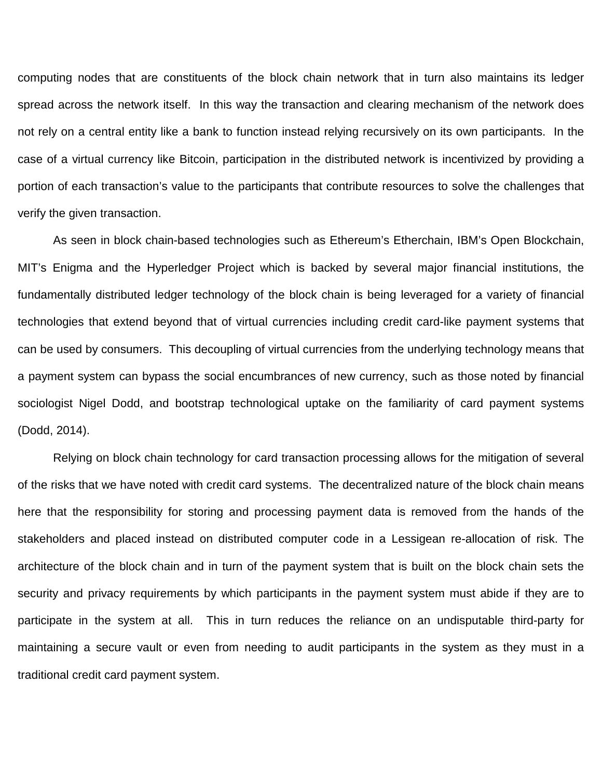computing nodes that are constituents of the block chain network that in turn also maintains its ledger spread across the network itself. In this way the transaction and clearing mechanism of the network does not rely on a central entity like a bank to function instead relying recursively on its own participants. In the case of a virtual currency like Bitcoin, participation in the distributed network is incentivized by providing a portion of each transaction's value to the participants that contribute resources to solve the challenges that verify the given transaction.

As seen in block chain-based technologies such as Ethereum's Etherchain, IBM's Open Blockchain, MIT's Enigma and the Hyperledger Project which is backed by several major financial institutions, the fundamentally distributed ledger technology of the block chain is being leveraged for a variety of financial technologies that extend beyond that of virtual currencies including credit card-like payment systems that can be used by consumers. This decoupling of virtual currencies from the underlying technology means that a payment system can bypass the social encumbrances of new currency, such as those noted by financial sociologist Nigel Dodd, and bootstrap technological uptake on the familiarity of card payment systems (Dodd, 2014).

Relying on block chain technology for card transaction processing allows for the mitigation of several of the risks that we have noted with credit card systems. The decentralized nature of the block chain means here that the responsibility for storing and processing payment data is removed from the hands of the stakeholders and placed instead on distributed computer code in a Lessigean re-allocation of risk. The architecture of the block chain and in turn of the payment system that is built on the block chain sets the security and privacy requirements by which participants in the payment system must abide if they are to participate in the system at all. This in turn reduces the reliance on an undisputable third-party for maintaining a secure vault or even from needing to audit participants in the system as they must in a traditional credit card payment system.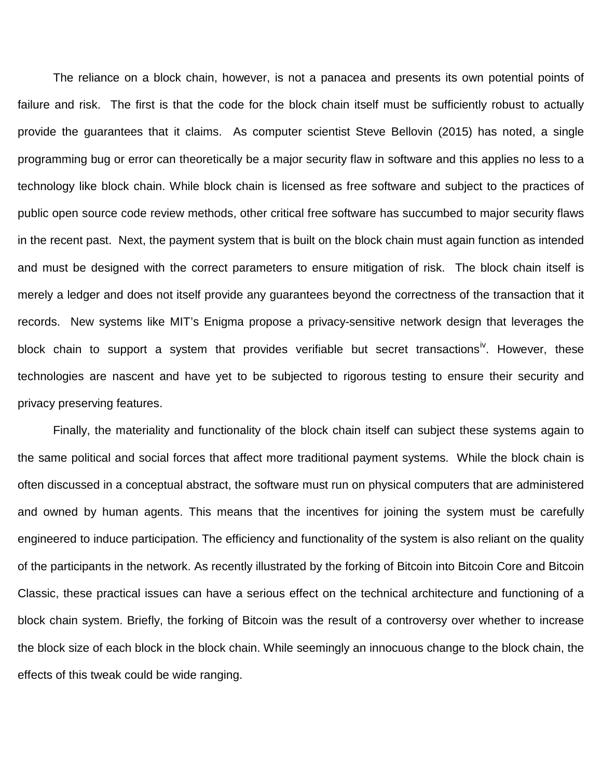The reliance on a block chain, however, is not a panacea and presents its own potential points of failure and risk. The first is that the code for the block chain itself must be sufficiently robust to actually provide the guarantees that it claims. As computer scientist Steve Bellovin (2015) has noted, a single programming bug or error can theoretically be a major security flaw in software and this applies no less to a technology like block chain. While block chain is licensed as free software and subject to the practices of public open source code review methods, other critical free software has succumbed to major security flaws in the recent past. Next, the payment system that is built on the block chain must again function as intended and must be designed with the correct parameters to ensure mitigation of risk. The block chain itself is merely a ledger and does not itself provide any guarantees beyond the correctness of the transaction that it records. New systems like MIT's Enigma propose a privacy-sensitive network design that leverages the block chain to support a system that provides verifiable but secret transactions<sup>[iv](#page-29-3)</sup>. However, these technologies are nascent and have yet to be subjected to rigorous testing to ensure their security and privacy preserving features.

Finally, the materiality and functionality of the block chain itself can subject these systems again to the same political and social forces that affect more traditional payment systems. While the block chain is often discussed in a conceptual abstract, the software must run on physical computers that are administered and owned by human agents. This means that the incentives for joining the system must be carefully engineered to induce participation. The efficiency and functionality of the system is also reliant on the quality of the participants in the network. As recently illustrated by the forking of Bitcoin into Bitcoin Core and Bitcoin Classic, these practical issues can have a serious effect on the technical architecture and functioning of a block chain system. Briefly, the forking of Bitcoin was the result of a controversy over whether to increase the block size of each block in the block chain. While seemingly an innocuous change to the block chain, the effects of this tweak could be wide ranging.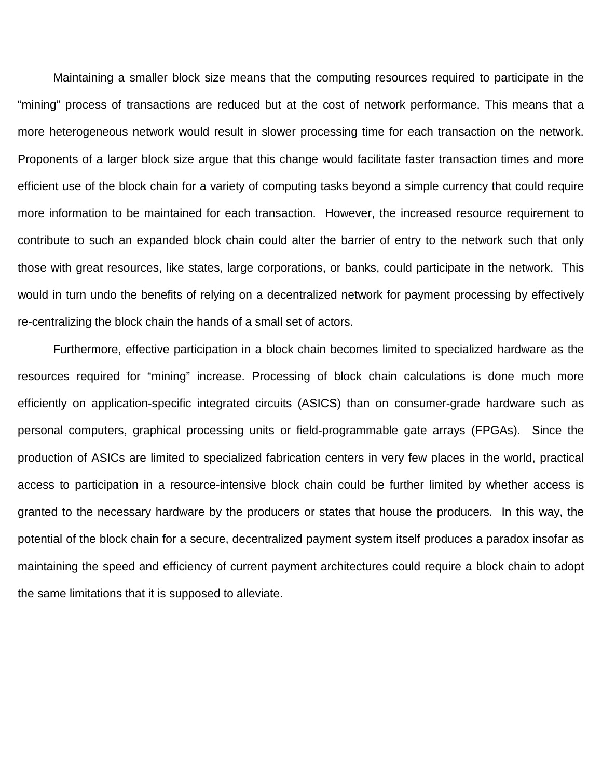Maintaining a smaller block size means that the computing resources required to participate in the "mining" process of transactions are reduced but at the cost of network performance. This means that a more heterogeneous network would result in slower processing time for each transaction on the network. Proponents of a larger block size argue that this change would facilitate faster transaction times and more efficient use of the block chain for a variety of computing tasks beyond a simple currency that could require more information to be maintained for each transaction. However, the increased resource requirement to contribute to such an expanded block chain could alter the barrier of entry to the network such that only those with great resources, like states, large corporations, or banks, could participate in the network. This would in turn undo the benefits of relying on a decentralized network for payment processing by effectively re-centralizing the block chain the hands of a small set of actors.

Furthermore, effective participation in a block chain becomes limited to specialized hardware as the resources required for "mining" increase. Processing of block chain calculations is done much more efficiently on application-specific integrated circuits (ASICS) than on consumer-grade hardware such as personal computers, graphical processing units or field-programmable gate arrays (FPGAs). Since the production of ASICs are limited to specialized fabrication centers in very few places in the world, practical access to participation in a resource-intensive block chain could be further limited by whether access is granted to the necessary hardware by the producers or states that house the producers. In this way, the potential of the block chain for a secure, decentralized payment system itself produces a paradox insofar as maintaining the speed and efficiency of current payment architectures could require a block chain to adopt the same limitations that it is supposed to alleviate.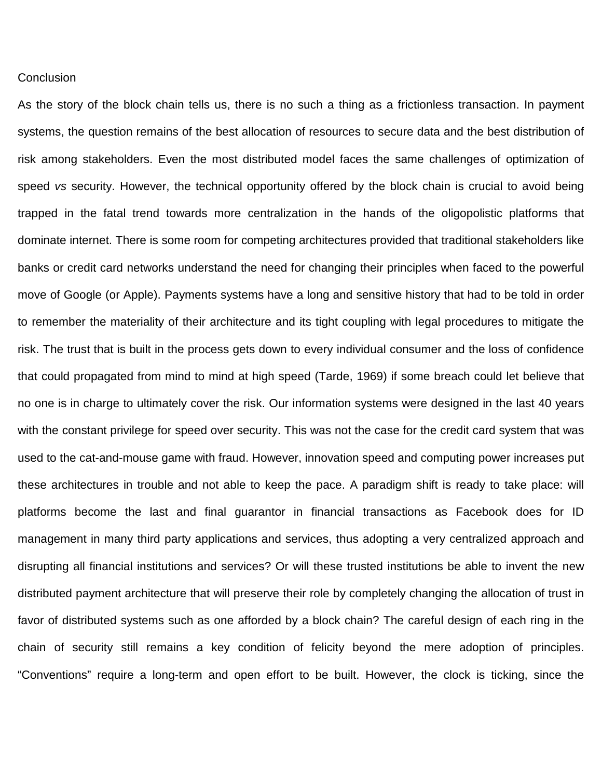## **Conclusion**

As the story of the block chain tells us, there is no such a thing as a frictionless transaction. In payment systems, the question remains of the best allocation of resources to secure data and the best distribution of risk among stakeholders. Even the most distributed model faces the same challenges of optimization of speed *vs* security. However, the technical opportunity offered by the block chain is crucial to avoid being trapped in the fatal trend towards more centralization in the hands of the oligopolistic platforms that dominate internet. There is some room for competing architectures provided that traditional stakeholders like banks or credit card networks understand the need for changing their principles when faced to the powerful move of Google (or Apple). Payments systems have a long and sensitive history that had to be told in order to remember the materiality of their architecture and its tight coupling with legal procedures to mitigate the risk. The trust that is built in the process gets down to every individual consumer and the loss of confidence that could propagated from mind to mind at high speed (Tarde, 1969) if some breach could let believe that no one is in charge to ultimately cover the risk. Our information systems were designed in the last 40 years with the constant privilege for speed over security. This was not the case for the credit card system that was used to the cat-and-mouse game with fraud. However, innovation speed and computing power increases put these architectures in trouble and not able to keep the pace. A paradigm shift is ready to take place: will platforms become the last and final guarantor in financial transactions as Facebook does for ID management in many third party applications and services, thus adopting a very centralized approach and disrupting all financial institutions and services? Or will these trusted institutions be able to invent the new distributed payment architecture that will preserve their role by completely changing the allocation of trust in favor of distributed systems such as one afforded by a block chain? The careful design of each ring in the chain of security still remains a key condition of felicity beyond the mere adoption of principles. "Conventions" require a long-term and open effort to be built. However, the clock is ticking, since the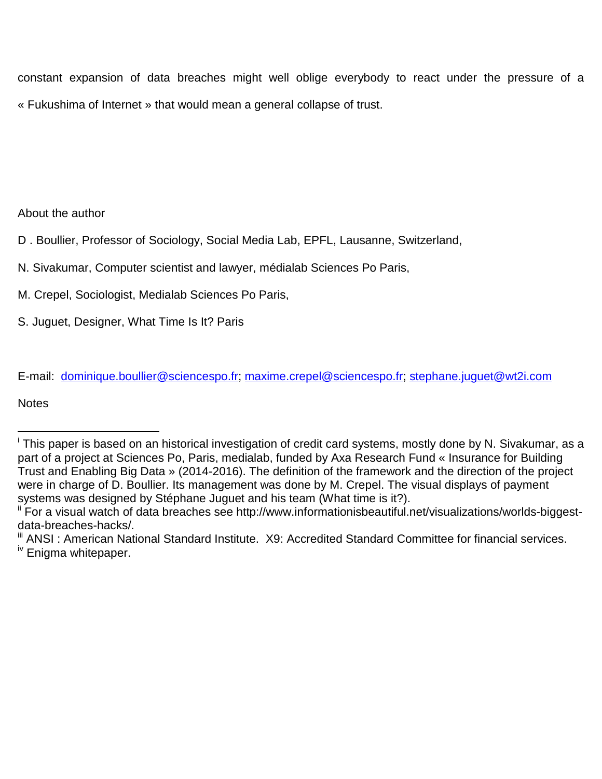constant expansion of data breaches might well oblige everybody to react under the pressure of a « Fukushima of Internet » that would mean a general collapse of trust.

About the author

D . Boullier, Professor of Sociology, Social Media Lab, EPFL, Lausanne, Switzerland,

- N. Sivakumar, Computer scientist and lawyer, médialab Sciences Po Paris,
- M. Crepel, Sociologist, Medialab Sciences Po Paris,
- S. Juguet, Designer, What Time Is It? Paris

E-mail: [dominique.boullier@sciencespo.fr;](mailto:dominique.boullier@sciencespo.fr) [maxime.crepel@sciencespo.fr;](mailto:maxime.crepel@sciencespo.fr) [stephane.juguet@wt2i.com](mailto:stephane.juguet@wt2i.com)

**Notes** 

 $\overline{a}$ 

i This paper is based on an historical investigation of credit card systems, mostly done by N. Sivakumar, as a part of a project at Sciences Po, Paris, medialab, funded by Axa Research Fund « Insurance for Building Trust and Enabling Big Data » (2014-2016). The definition of the framework and the direction of the project were in charge of D. Boullier. Its management was done by M. Crepel. The visual displays of payment systems was designed by Stéphane Juguet and his team (What time is it?).

For a visual watch of data breaches see http://www.informationisbeautiful.net/visualizations/worlds-biggestdata-breaches-hacks/.

III ANSI: American National Standard Institute. X9: Accredited Standard Committee for financial services. Enigma whitepaper.